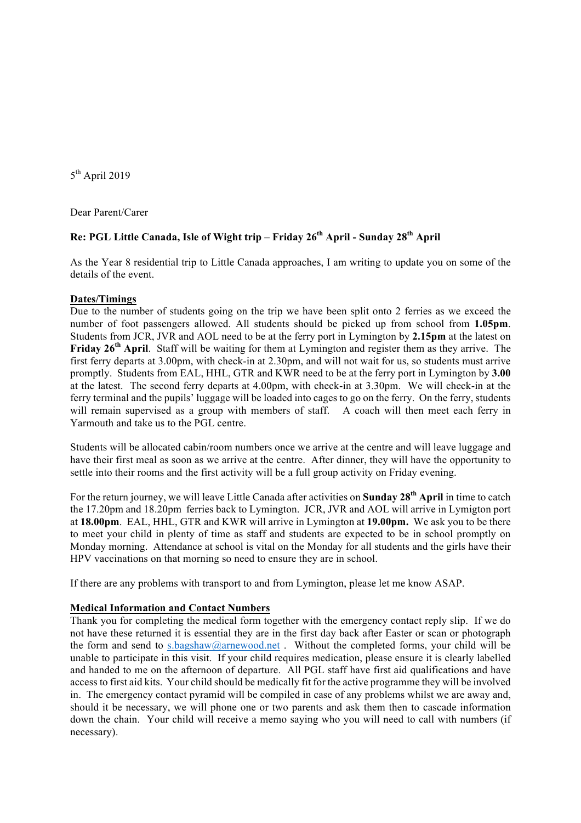$5<sup>th</sup>$  April 2019

Dear Parent/Carer

## **Re: PGL Little Canada, Isle of Wight trip – Friday 26th April - Sunday 28th April**

As the Year 8 residential trip to Little Canada approaches, I am writing to update you on some of the details of the event.

#### **Dates/Timings**

Due to the number of students going on the trip we have been split onto 2 ferries as we exceed the number of foot passengers allowed. All students should be picked up from school from **1.05pm**. Students from JCR, JVR and AOL need to be at the ferry port in Lymington by **2.15pm** at the latest on **Friday 26th April**. Staff will be waiting for them at Lymington and register them as they arrive. The first ferry departs at 3.00pm, with check-in at 2.30pm, and will not wait for us, so students must arrive promptly. Students from EAL, HHL, GTR and KWR need to be at the ferry port in Lymington by **3.00**  at the latest. The second ferry departs at 4.00pm, with check-in at 3.30pm. We will check-in at the ferry terminal and the pupils' luggage will be loaded into cages to go on the ferry. On the ferry, students will remain supervised as a group with members of staff. A coach will then meet each ferry in Yarmouth and take us to the PGL centre.

Students will be allocated cabin/room numbers once we arrive at the centre and will leave luggage and have their first meal as soon as we arrive at the centre. After dinner, they will have the opportunity to settle into their rooms and the first activity will be a full group activity on Friday evening.

For the return journey, we will leave Little Canada after activities on **Sunday 28th April** in time to catch the 17.20pm and 18.20pm ferries back to Lymington. JCR, JVR and AOL will arrive in Lymigton port at **18.00pm**. EAL, HHL, GTR and KWR will arrive in Lymington at **19.00pm.** We ask you to be there to meet your child in plenty of time as staff and students are expected to be in school promptly on Monday morning. Attendance at school is vital on the Monday for all students and the girls have their HPV vaccinations on that morning so need to ensure they are in school.

If there are any problems with transport to and from Lymington, please let me know ASAP.

#### **Medical Information and Contact Numbers**

Thank you for completing the medical form together with the emergency contact reply slip. If we do not have these returned it is essential they are in the first day back after Easter or scan or photograph the form and send to s.bagshaw@arnewood.net . Without the completed forms, your child will be unable to participate in this visit. If your child requires medication, please ensure it is clearly labelled and handed to me on the afternoon of departure. All PGL staff have first aid qualifications and have access to first aid kits. Your child should be medically fit for the active programme they will be involved in. The emergency contact pyramid will be compiled in case of any problems whilst we are away and, should it be necessary, we will phone one or two parents and ask them then to cascade information down the chain. Your child will receive a memo saying who you will need to call with numbers (if necessary).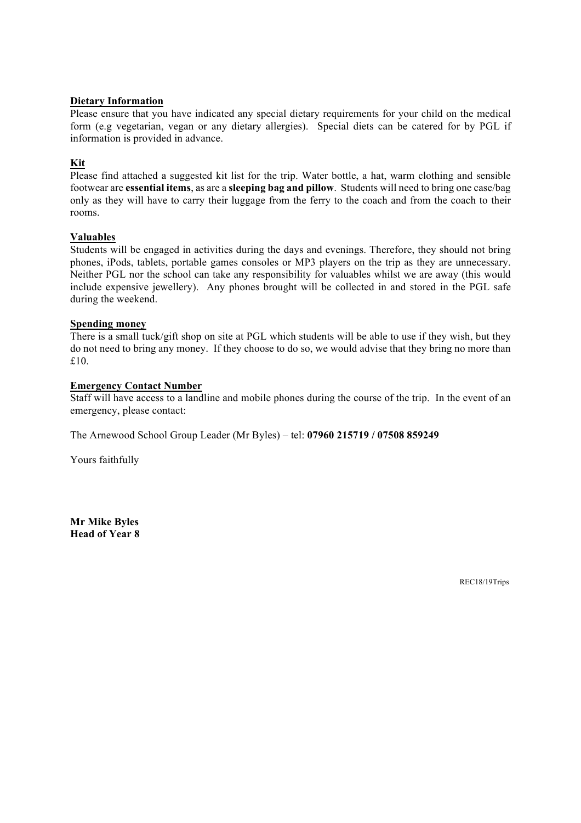#### **Dietary Information**

Please ensure that you have indicated any special dietary requirements for your child on the medical form (e.g vegetarian, vegan or any dietary allergies). Special diets can be catered for by PGL if information is provided in advance.

## **Kit**

Please find attached a suggested kit list for the trip. Water bottle, a hat, warm clothing and sensible footwear are **essential items**, as are a **sleeping bag and pillow**. Students will need to bring one case/bag only as they will have to carry their luggage from the ferry to the coach and from the coach to their rooms.

### **Valuables**

Students will be engaged in activities during the days and evenings. Therefore, they should not bring phones, iPods, tablets, portable games consoles or MP3 players on the trip as they are unnecessary. Neither PGL nor the school can take any responsibility for valuables whilst we are away (this would include expensive jewellery). Any phones brought will be collected in and stored in the PGL safe during the weekend.

## **Spending money**

There is a small tuck/gift shop on site at PGL which students will be able to use if they wish, but they do not need to bring any money. If they choose to do so, we would advise that they bring no more than £10.

### **Emergency Contact Number**

Staff will have access to a landline and mobile phones during the course of the trip. In the event of an emergency, please contact:

The Arnewood School Group Leader (Mr Byles) – tel: **07960 215719 / 07508 859249**

Yours faithfully

**Mr Mike Byles Head of Year 8**

REC18/19Trips